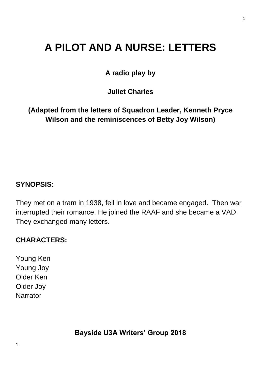# **A PILOT AND A NURSE: LETTERS**

**A radio play by**

**Juliet Charles**

**(Adapted from the letters of Squadron Leader, Kenneth Pryce Wilson and the reminiscences of Betty Joy Wilson)**

# **SYNOPSIS:**

They met on a tram in 1938, fell in love and became engaged. Then war interrupted their romance. He joined the RAAF and she became a VAD. They exchanged many letters.

# **CHARACTERS:**

Young Ken Young Joy Older Ken Older Joy Narrator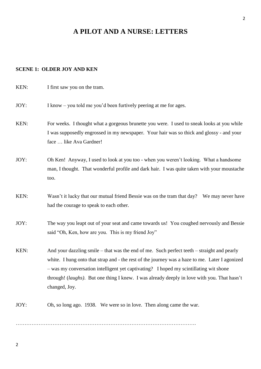## **A PILOT AND A NURSE: LETTERS**

#### **SCENE 1: OLDER JOY AND KEN**

KEN: I first saw you on the tram. JOY: I know – you told me you'd been furtively peering at me for ages. KEN: For weeks. I thought what a gorgeous brunette you were. I used to sneak looks at you while I was supposedly engrossed in my newspaper. Your hair was so thick and glossy - and your face … like Ava Gardner! JOY: Oh Ken! Anyway, I used to look at you too - when you weren't looking. What a handsome man, I thought. That wonderful profile and dark hair. I was quite taken with your moustache too. KEN: Wasn't it lucky that our mutual friend Bessie was on the tram that day? We may never have had the courage to speak to each other. JOY: The way you leapt out of your seat and came towards us! You coughed nervously and Bessie said "Oh, Ken, how are you. This is my friend Joy" KEN: And your dazzling smile – that was the end of me. Such perfect teeth – straight and pearly white. I hung onto that strap and - the rest of the journey was a haze to me. Later I agonized – was my conversation intelligent yet captivating? I hoped my scintillating wit shone

through! (*laughs)*. But one thing I knew. I was already deeply in love with you. That hasn't changed, Joy.

JOY: Oh, so long ago. 1938. We were so in love. Then along came the war.

………………………………………………………………………………………….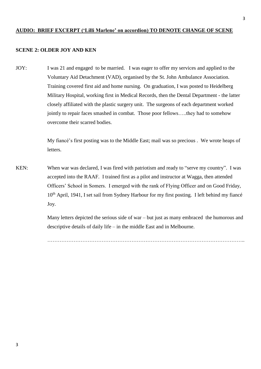#### **AUDIO: BRIEF EXCERPT ('Lilli Marlene' on accordion) TO DENOTE CHANGE OF SCENE**

#### **SCENE 2: OLDER JOY AND KEN**

JOY: I was 21 and engaged to be married. I was eager to offer my services and applied to the Voluntary Aid Detachment (VAD), organised by the St. John Ambulance Association. Training covered first aid and home nursing. On graduation, I was posted to Heidelberg Military Hospital, working first in Medical Records, then the Dental Department - the latter closely affiliated with the plastic surgery unit. The surgeons of each department worked jointly to repair faces smashed in combat. Those poor fellows…..they had to somehow overcome their scarred bodies.

> My fiancé's first posting was to the Middle East; mail was so precious . We wrote heaps of letters.

KEN: When war was declared, I was fired with patriotism and ready to "serve my country". I was accepted into the RAAF. I trained first as a pilot and instructor at Wagga, then attended Officers' School in Somers. I emerged with the rank of Flying Officer and on Good Friday, 10<sup>th</sup> April, 1941, I set sail from Sydney Harbour for my first posting. I left behind my fiancé Joy.

> Many letters depicted the serious side of war – but just as many embraced the humorous and descriptive details of daily life – in the middle East and in Melbourne.

…………………………………………………………………………………………………..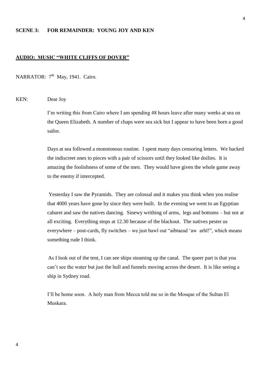#### **SCENE 3: FOR REMAINDER: YOUNG JOY AND KEN**

#### **AUDIO: MUSIC "WHITE CLIFFS OF DOVER"**

NARRATOR: 7<sup>th</sup> May, 1941. Cairo.

#### KEN: Dear Joy

I'm writing this from Cairo where I am spending 48 hours leave after many weeks at sea on the Queen Elizabeth. A number of chaps were sea sick but I appear to have been born a good sailor.

Days at sea followed a monotonous routine. I spent many days censoring letters. We hacked the indiscreet ones to pieces with a pair of scissors until they looked like doilies. It is amazing the foolishness of some of the men. They would have given the whole game away to the enemy if intercepted.

Yesterday I saw the Pyramids. They are colossal and it makes you think when you realise that 4000 years have gone by since they were built. In the evening we went to an Egyptian cabaret and saw the natives dancing. Sinewy writhing of arms, legs and bottoms – but not at all exciting. Everything stops at 12.30 because of the blackout. The natives pester us everywhere – post-cards, fly switches – we just bawl out "aibtaead 'aw arhl!", which means something rude I think.

As I look out of the tent, I can see ships steaming up the canal. The queer part is that you can't see the water but just the hull and funnels moving across the desert. It is like seeing a ship in Sydney road.

I'll be home soon. A holy man from Mecca told me so in the Mosque of the Sultan El Muskara.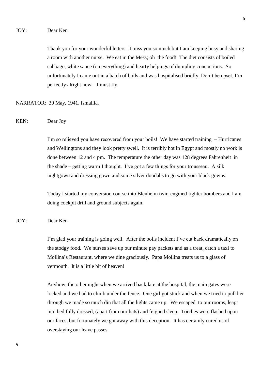Thank you for your wonderful letters. I miss you so much but I am keeping busy and sharing a room with another nurse. We eat in the Mess; oh the food! The diet consists of boiled cabbage, white sauce (on everything) and hearty helpings of dumpling concoctions. So, unfortunately I came out in a batch of boils and was hospitalised briefly. Don't be upset, I'm perfectly alright now. I must fly.

NARRATOR: 30 May, 1941. Ismailia.

KEN: Dear Joy

I'm so relieved you have recovered from your boils! We have started training – Hurricanes and Wellingtons and they look pretty swell. It is terribly hot in Egypt and mostly no work is done between 12 and 4 pm. The temperature the other day was 128 degrees Fahrenheit in the shade – getting warm I thought. I've got a few things for your trousseau. A silk nightgown and dressing gown and some silver doodahs to go with your black gowns.

Today I started my conversion course into Blenheim twin-engined fighter bombers and I am doing cockpit drill and ground subjects again.

#### JOY: Dear Ken

I'm glad your training is going well. After the boils incident I've cut back dramatically on the stodgy food. We nurses save up our minute pay packets and as a treat, catch a taxi to Mollina's Restaurant, where we dine graciously. Papa Mollina treats us to a glass of vermouth. It is a little bit of heaven!

Anyhow, the other night when we arrived back late at the hospital, the main gates were locked and we had to climb under the fence. One girl got stuck and when we tried to pull her through we made so much din that all the lights came up. We escaped to our rooms, leapt into bed fully dressed, (apart from our hats) and feigned sleep. Torches were flashed upon our faces, but fortunately we got away with this deception. It has certainly cured us of overstaying our leave passes.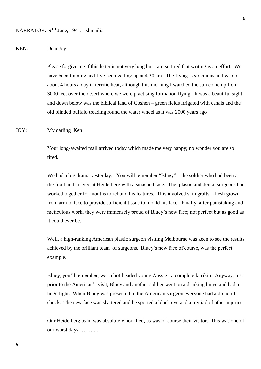#### KEN: Dear Joy

Please forgive me if this letter is not very long but I am so tired that writing is an effort. We have been training and I've been getting up at 4.30 am. The flying is strenuous and we do about 4 hours a day in terrific heat, although this morning I watched the sun come up from 3000 feet over the desert where we were practising formation flying. It was a beautiful sight and down below was the biblical land of Goshen – green fields irrigated with canals and the old blinded buffalo treading round the water wheel as it was 2000 years ago

JOY: My darling Ken

Your long-awaited mail arrived today which made me very happy; no wonder you are so tired.

We had a big drama yesterday. You will remember "Bluey" – the soldier who had been at the front and arrived at Heidelberg with a smashed face. The plastic and dental surgeons had worked together for months to rebuild his features. This involved skin grafts – flesh grown from arm to face to provide sufficient tissue to mould his face. Finally, after painstaking and meticulous work, they were immensely proud of Bluey's new face; not perfect but as good as it could ever be.

Well, a high-ranking American plastic surgeon visiting Melbourne was keen to see the results achieved by the brilliant team of surgeons. Bluey's new face of course, was the perfect example.

Bluey, you'll remember, was a hot-headed young Aussie - a complete larrikin. Anyway, just prior to the American's visit, Bluey and another soldier went on a drinking binge and had a huge fight. When Bluey was presented to the American surgeon everyone had a dreadful shock. The new face was shattered and he sported a black eye and a myriad of other injuries.

Our Heidelberg team was absolutely horrified, as was of course their visitor. This was one of our worst days………...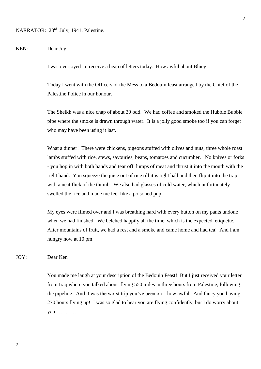#### KEN: Dear Joy

I was overjoyed to receive a heap of letters today. How awful about Bluey!

Today I went with the Officers of the Mess to a Bedouin feast arranged by the Chief of the Palestine Police in our honour.

The Sheikh was a nice chap of about 30 odd. We had coffee and smoked the Hubble Bubble pipe where the smoke is drawn through water. It is a jolly good smoke too if you can forget who may have been using it last.

What a dinner! There were chickens, pigeons stuffed with olives and nuts, three whole roast lambs stuffed with rice, stews, savouries, beans, tomatoes and cucumber. No knives or forks - you hop in with both hands and tear off lumps of meat and thrust it into the mouth with the right hand. You squeeze the juice out of rice till it is tight ball and then flip it into the trap with a neat flick of the thumb. We also had glasses of cold water, which unfortunately swelled the rice and made me feel like a poisoned pup.

My eyes were filmed over and I was breathing hard with every button on my pants undone when we had finished. We belched happily all the time, which is the expected. etiquette. After mountains of fruit, we had a rest and a smoke and came home and had tea! And I am hungry now at 10 pm.

JOY: Dear Ken

You made me laugh at your description of the Bedouin Feast! But I just received your letter from Iraq where you talked about flying 550 miles in three hours from Palestine, following the pipeline. And it was the worst trip you've been on – how awful. And fancy you having 270 hours flying up! I was so glad to hear you are flying confidently, but I do worry about you…………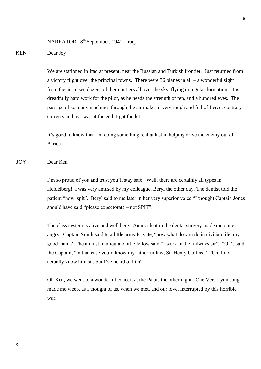NARRATOR: 8<sup>th</sup> September, 1941. Iraq.

#### KEN Dear Joy

We are stationed in Iraq at present, near the Russian and Turkish frontier. Just returned from a victory flight over the principal towns. There were 36 planes in all – a wonderful sight from the air to see dozens of them in tiers all over the sky, flying in regular formation. It is dreadfully hard work for the pilot, as he needs the strength of ten, and a hundred eyes. The passage of so many machines through the air makes it very rough and full of fierce, contrary currents and as I was at the end, I got the lot.

It's good to know that I'm doing something real at last in helping drive the enemy out of Africa.

JOY Dear Ken

I'm so proud of you and trust you'll stay safe. Well, there are certainly all types in Heidelberg! I was very amused by my colleague, Beryl the other day. The dentist told the patient "now, spit". Beryl said to me later in her very superior voice "I thought Captain Jones should have said "please expectorate – not SPIT".

The class system is alive and well here. An incident in the dental surgery made me quite angry. Captain Smith said to a little army Private, "now what do you do in civilian life, my good man"? The almost inarticulate little fellow said "I work in the railways sir". "Oh", said the Captain, "in that case you'd know my father-in-law, Sir Henry Collins." "Oh, I don't actually know him sir, but I've heard of him".

Oh Ken, we went to a wonderful concert at the Palais the other night. One Vera Lynn song made me weep, as I thought of us, when we met, and our love, interrupted by this horrible war.